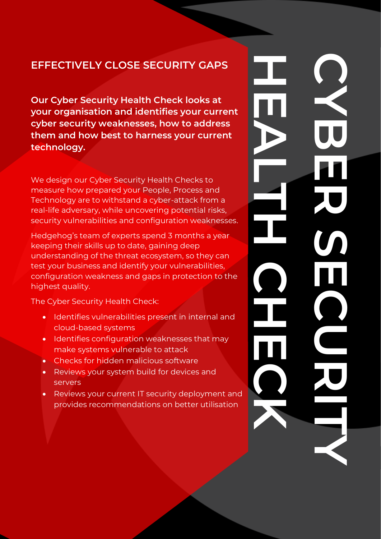### **EFFECTIVELY CLOSE SECURITY GAPS**

**CYBER SECURITY HEALTH CHECK** 

**Our Cyber Security Health Check looks at your organisation and identifies your current cyber security weaknesses, how to address them and how best to harness your current technology.**

We design our Cyber Security Health Checks to measure how prepared your People, Process and Technology are to withstand a cyber-attack from a real-life adversary, while uncovering potential risks, security vulnerabilities and configuration weaknesses.

Hedgehog's team of experts spend 3 months a year keeping their skills up to date, gaining deep understanding of the threat ecosystem, so they can test your business and identify your vulnerabilities, configuration weakness and gaps in protection to the highest quality.

The Cyber Security Health Check:

- Identifies vulnerabilities present in internal and cloud-based systems
- Identifies configuration weaknesses that may make systems vulnerable to attack
- Checks for hidden malicious software
- Reviews your system build for devices and servers

Visit our website @ hedgehogsecurity.com Call us on +350 540 73836 or +44 3333 444 256

• Reviews your current IT security deployment and provides recommendations on better utilisation

**HEALTH CHECK CYBER SECURITY**